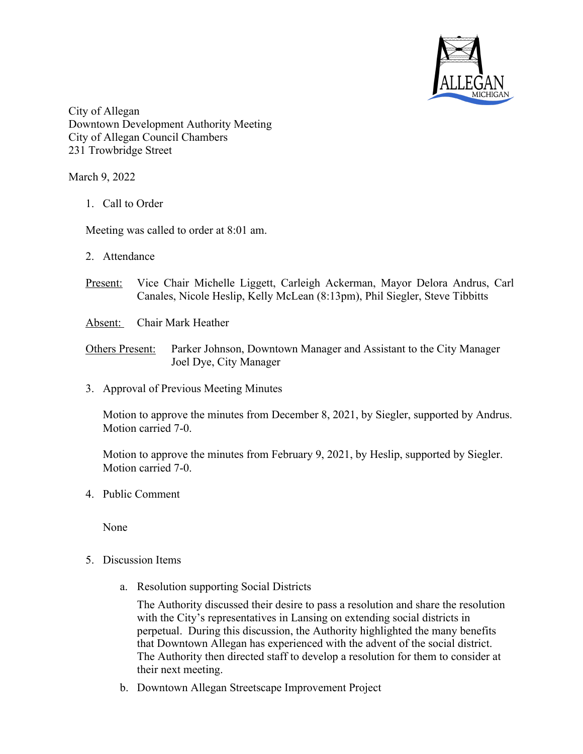

City of Allegan Downtown Development Authority Meeting City of Allegan Council Chambers 231 Trowbridge Street

March 9, 2022

1. Call to Order

Meeting was called to order at 8:01 am.

- 2. Attendance
- Present: Vice Chair Michelle Liggett, Carleigh Ackerman, Mayor Delora Andrus, Carl Canales, Nicole Heslip, Kelly McLean (8:13pm), Phil Siegler, Steve Tibbitts
- Absent: Chair Mark Heather

Others Present: Parker Johnson, Downtown Manager and Assistant to the City Manager Joel Dye, City Manager

3. Approval of Previous Meeting Minutes

Motion to approve the minutes from December 8, 2021, by Siegler, supported by Andrus. Motion carried 7-0.

Motion to approve the minutes from February 9, 2021, by Heslip, supported by Siegler. Motion carried 7-0.

4. Public Comment

None

- 5. Discussion Items
	- a. Resolution supporting Social Districts

The Authority discussed their desire to pass a resolution and share the resolution with the City's representatives in Lansing on extending social districts in perpetual. During this discussion, the Authority highlighted the many benefits that Downtown Allegan has experienced with the advent of the social district. The Authority then directed staff to develop a resolution for them to consider at their next meeting.

b. Downtown Allegan Streetscape Improvement Project